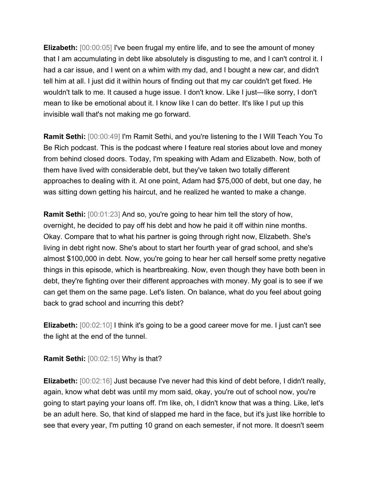**Elizabeth:** [00:00:05] I've been frugal my entire life, and to see the amount of money that I am accumulating in debt like absolutely is disgusting to me, and I can't control it. I had a car issue, and I went on a whim with my dad, and I bought a new car, and didn't tell him at all. I just did it within hours of finding out that my car couldn't get fixed. He wouldn't talk to me. It caused a huge issue. I don't know. Like I just—like sorry, I don't mean to like be emotional about it. I know like I can do better. It's like I put up this invisible wall that's not making me go forward.

**Ramit Sethi:** [00:00:49] I'm Ramit Sethi, and you're listening to the I Will Teach You To Be Rich podcast. This is the podcast where I feature real stories about love and money from behind closed doors. Today, I'm speaking with Adam and Elizabeth. Now, both of them have lived with considerable debt, but they've taken two totally different approaches to dealing with it. At one point, Adam had \$75,000 of debt, but one day, he was sitting down getting his haircut, and he realized he wanted to make a change.

**Ramit Sethi:** [00:01:23] And so, you're going to hear him tell the story of how, overnight, he decided to pay off his debt and how he paid it off within nine months. Okay. Compare that to what his partner is going through right now, Elizabeth. She's living in debt right now. She's about to start her fourth year of grad school, and she's almost \$100,000 in debt. Now, you're going to hear her call herself some pretty negative things in this episode, which is heartbreaking. Now, even though they have both been in debt, they're fighting over their different approaches with money. My goal is to see if we can get them on the same page. Let's listen. On balance, what do you feel about going back to grad school and incurring this debt?

**Elizabeth:** [00:02:10] I think it's going to be a good career move for me. I just can't see the light at the end of the tunnel.

**Ramit Sethi:** [00:02:15] Why is that?

**Elizabeth:** [00:02:16] Just because I've never had this kind of debt before, I didn't really, again, know what debt was until my mom said, okay, you're out of school now, you're going to start paying your loans off. I'm like, oh, I didn't know that was a thing. Like, let's be an adult here. So, that kind of slapped me hard in the face, but it's just like horrible to see that every year, I'm putting 10 grand on each semester, if not more. It doesn't seem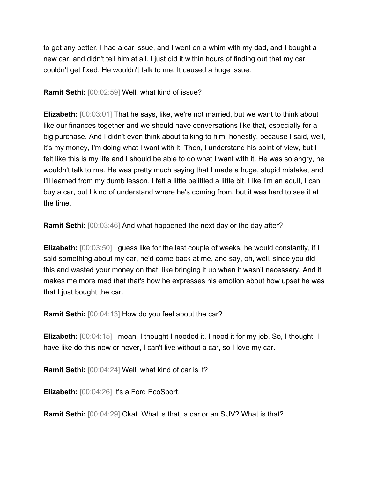to get any better. I had a car issue, and I went on a whim with my dad, and I bought a new car, and didn't tell him at all. I just did it within hours of finding out that my car couldn't get fixed. He wouldn't talk to me. It caused a huge issue.

**Ramit Sethi:** [00:02:59] Well, what kind of issue?

**Elizabeth:** [00:03:01] That he says, like, we're not married, but we want to think about like our finances together and we should have conversations like that, especially for a big purchase. And I didn't even think about talking to him, honestly, because I said, well, it's my money, I'm doing what I want with it. Then, I understand his point of view, but I felt like this is my life and I should be able to do what I want with it. He was so angry, he wouldn't talk to me. He was pretty much saying that I made a huge, stupid mistake, and I'll learned from my dumb lesson. I felt a little belittled a little bit. Like I'm an adult, I can buy a car, but I kind of understand where he's coming from, but it was hard to see it at the time.

**Ramit Sethi:** [00:03:46] And what happened the next day or the day after?

**Elizabeth:** [00:03:50] I guess like for the last couple of weeks, he would constantly, if I said something about my car, he'd come back at me, and say, oh, well, since you did this and wasted your money on that, like bringing it up when it wasn't necessary. And it makes me more mad that that's how he expresses his emotion about how upset he was that I just bought the car.

**Ramit Sethi:** [00:04:13] How do you feel about the car?

**Elizabeth:** [00:04:15] I mean, I thought I needed it. I need it for my job. So, I thought, I have like do this now or never, I can't live without a car, so I love my car.

**Ramit Sethi:** [00:04:24] Well, what kind of car is it?

**Elizabeth:** [00:04:26] It's a Ford EcoSport.

**Ramit Sethi:** [00:04:29] Okat. What is that, a car or an SUV? What is that?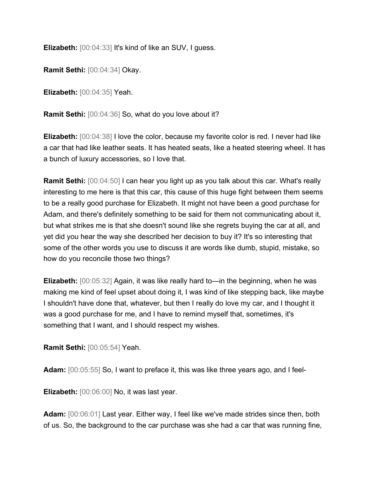**Elizabeth:** [00:04:33] It's kind of like an SUV, I guess.

**Ramit Sethi:** [00:04:34] Okay.

**Elizabeth:** [00:04:35] Yeah.

**Ramit Sethi:** [00:04:36] So, what do you love about it?

**Elizabeth:** [00:04:38] I love the color, because my favorite color is red. I never had like a car that had like leather seats. It has heated seats, like a heated steering wheel. It has a bunch of luxury accessories, so I love that.

**Ramit Sethi:** [00:04:50] I can hear you light up as you talk about this car. What's really interesting to me here is that this car, this cause of this huge fight between them seems to be a really good purchase for Elizabeth. It might not have been a good purchase for Adam, and there's definitely something to be said for them not communicating about it, but what strikes me is that she doesn't sound like she regrets buying the car at all, and yet did you hear the way she described her decision to buy it? It's so interesting that some of the other words you use to discuss it are words like dumb, stupid, mistake, so how do you reconcile those two things?

**Elizabeth:** [00:05:32] Again, it was like really hard to—in the beginning, when he was making me kind of feel upset about doing it, I was kind of like stepping back, like maybe I shouldn't have done that, whatever, but then I really do love my car, and I thought it was a good purchase for me, and I have to remind myself that, sometimes, it's something that I want, and I should respect my wishes.

**Ramit Sethi:** [00:05:54] Yeah.

**Adam:** [00:05:55] So, I want to preface it, this was like three years ago, and I feel-

**Elizabeth:** [00:06:00] No, it was last year.

**Adam:** [00:06:01] Last year. Either way, I feel like we've made strides since then, both of us. So, the background to the car purchase was she had a car that was running fine,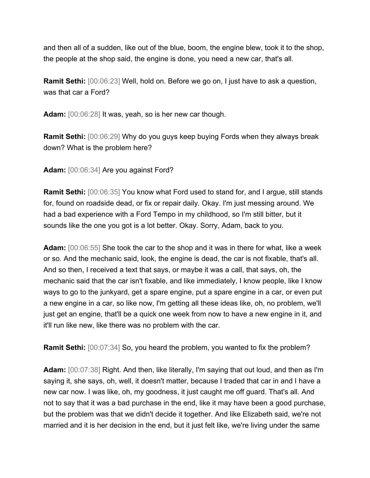and then all of a sudden, like out of the blue, boom, the engine blew, took it to the shop, the people at the shop said, the engine is done, you need a new car, that's all.

**Ramit Sethi:** [00:06:23] Well, hold on. Before we go on, I just have to ask a question, was that car a Ford?

**Adam:** [00:06:28] It was, yeah, so is her new car though.

**Ramit Sethi:** [00:06:29] Why do you guys keep buying Fords when they always break down? What is the problem here?

**Adam:** [00:06:34] Are you against Ford?

**Ramit Sethi:** [00:06:35] You know what Ford used to stand for, and I argue, still stands for, found on roadside dead, or fix or repair daily. Okay. I'm just messing around. We had a bad experience with a Ford Tempo in my childhood, so I'm still bitter, but it sounds like the one you got is a lot better. Okay. Sorry, Adam, back to you.

**Adam:** [00:06:55] She took the car to the shop and it was in there for what, like a week or so. And the mechanic said, look, the engine is dead, the car is not fixable, that's all. And so then, I received a text that says, or maybe it was a call, that says, oh, the mechanic said that the car isn't fixable, and like immediately, I know people, like I know ways to go to the junkyard, get a spare engine, put a spare engine in a car, or even put a new engine in a car, so like now, I'm getting all these ideas like, oh, no problem, we'll just get an engine, that'll be a quick one week from now to have a new engine in it, and it'll run like new, like there was no problem with the car.

**Ramit Sethi:** [00:07:34] So, you heard the problem, you wanted to fix the problem?

**Adam:** [00:07:38] Right. And then, like literally, I'm saying that out loud, and then as I'm saying it, she says, oh, well, it doesn't matter, because I traded that car in and I have a new car now. I was like, oh, my goodness, it just caught me off guard. That's all. And not to say that it was a bad purchase in the end, like it may have been a good purchase, but the problem was that we didn't decide it together. And like Elizabeth said, we're not married and it is her decision in the end, but it just felt like, we're living under the same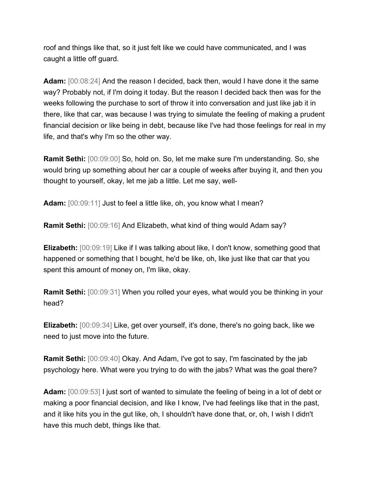roof and things like that, so it just felt like we could have communicated, and I was caught a little off guard.

**Adam:** [00:08:24] And the reason I decided, back then, would I have done it the same way? Probably not, if I'm doing it today. But the reason I decided back then was for the weeks following the purchase to sort of throw it into conversation and just like jab it in there, like that car, was because I was trying to simulate the feeling of making a prudent financial decision or like being in debt, because like I've had those feelings for real in my life, and that's why I'm so the other way.

**Ramit Sethi:** [00:09:00] So, hold on. So, let me make sure I'm understanding. So, she would bring up something about her car a couple of weeks after buying it, and then you thought to yourself, okay, let me jab a little. Let me say, well-

**Adam:** [00:09:11] Just to feel a little like, oh, you know what I mean?

**Ramit Sethi:** [00:09:16] And Elizabeth, what kind of thing would Adam say?

**Elizabeth:** [00:09:19] Like if I was talking about like, I don't know, something good that happened or something that I bought, he'd be like, oh, like just like that car that you spent this amount of money on, I'm like, okay.

**Ramit Sethi:** [00:09:31] When you rolled your eyes, what would you be thinking in your head?

**Elizabeth:** [00:09:34] Like, get over yourself, it's done, there's no going back, like we need to just move into the future.

**Ramit Sethi:** [00:09:40] Okay. And Adam, I've got to say, I'm fascinated by the jab psychology here. What were you trying to do with the jabs? What was the goal there?

**Adam:**  $[00:09:53]$  I just sort of wanted to simulate the feeling of being in a lot of debt or making a poor financial decision, and like I know, I've had feelings like that in the past, and it like hits you in the gut like, oh, I shouldn't have done that, or, oh, I wish I didn't have this much debt, things like that.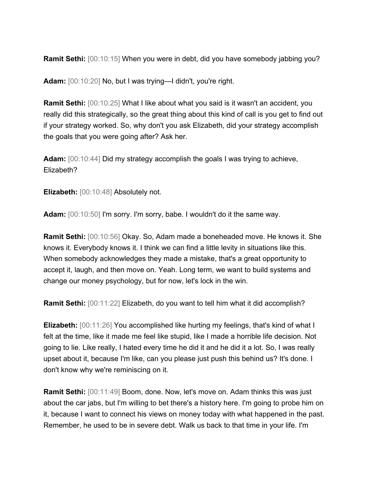**Ramit Sethi:** [00:10:15] When you were in debt, did you have somebody jabbing you?

**Adam:** [00:10:20] No, but I was trying—I didn't, you're right.

**Ramit Sethi:** [00:10:25] What I like about what you said is it wasn't an accident, you really did this strategically, so the great thing about this kind of call is you get to find out if your strategy worked. So, why don't you ask Elizabeth, did your strategy accomplish the goals that you were going after? Ask her.

**Adam:** [00:10:44] Did my strategy accomplish the goals I was trying to achieve, Elizabeth?

**Elizabeth:** [00:10:48] Absolutely not.

**Adam:** [00:10:50] I'm sorry. I'm sorry, babe. I wouldn't do it the same way.

**Ramit Sethi:** [00:10:56] Okay. So, Adam made a boneheaded move. He knows it. She knows it. Everybody knows it. I think we can find a little levity in situations like this. When somebody acknowledges they made a mistake, that's a great opportunity to accept it, laugh, and then move on. Yeah. Long term, we want to build systems and change our money psychology, but for now, let's lock in the win.

**Ramit Sethi:** [00:11:22] Elizabeth, do you want to tell him what it did accomplish?

**Elizabeth:** [00:11:26] You accomplished like hurting my feelings, that's kind of what I felt at the time, like it made me feel like stupid, like I made a horrible life decision. Not going to lie. Like really, I hated every time he did it and he did it a lot. So, I was really upset about it, because I'm like, can you please just push this behind us? It's done. I don't know why we're reminiscing on it.

**Ramit Sethi:** [00:11:49] Boom, done. Now, let's move on. Adam thinks this was just about the car jabs, but I'm willing to bet there's a history here. I'm going to probe him on it, because I want to connect his views on money today with what happened in the past. Remember, he used to be in severe debt. Walk us back to that time in your life. I'm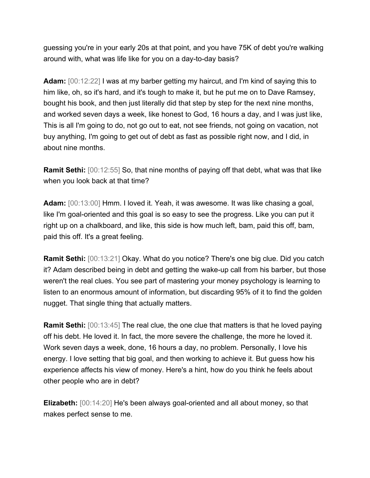guessing you're in your early 20s at that point, and you have 75K of debt you're walking around with, what was life like for you on a day-to-day basis?

**Adam:** [00:12:22] I was at my barber getting my haircut, and I'm kind of saying this to him like, oh, so it's hard, and it's tough to make it, but he put me on to Dave Ramsey, bought his book, and then just literally did that step by step for the next nine months, and worked seven days a week, like honest to God, 16 hours a day, and I was just like, This is all I'm going to do, not go out to eat, not see friends, not going on vacation, not buy anything, I'm going to get out of debt as fast as possible right now, and I did, in about nine months.

**Ramit Sethi:** [00:12:55] So, that nine months of paying off that debt, what was that like when you look back at that time?

**Adam:** [00:13:00] Hmm. I loved it. Yeah, it was awesome. It was like chasing a goal, like I'm goal-oriented and this goal is so easy to see the progress. Like you can put it right up on a chalkboard, and like, this side is how much left, bam, paid this off, bam, paid this off. It's a great feeling.

**Ramit Sethi:** [00:13:21] Okay. What do you notice? There's one big clue. Did you catch it? Adam described being in debt and getting the wake-up call from his barber, but those weren't the real clues. You see part of mastering your money psychology is learning to listen to an enormous amount of information, but discarding 95% of it to find the golden nugget. That single thing that actually matters.

**Ramit Sethi:** [00:13:45] The real clue, the one clue that matters is that he loved paying off his debt. He loved it. In fact, the more severe the challenge, the more he loved it. Work seven days a week, done, 16 hours a day, no problem. Personally, I love his energy. I love setting that big goal, and then working to achieve it. But guess how his experience affects his view of money. Here's a hint, how do you think he feels about other people who are in debt?

**Elizabeth:** [00:14:20] He's been always goal-oriented and all about money, so that makes perfect sense to me.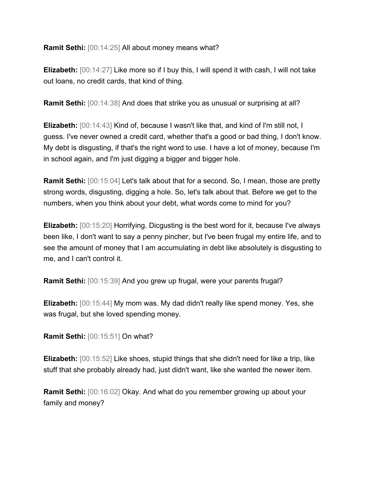**Ramit Sethi:** [00:14:25] All about money means what?

**Elizabeth:** [00:14:27] Like more so if I buy this, I will spend it with cash, I will not take out loans, no credit cards, that kind of thing.

**Ramit Sethi:** [00:14:38] And does that strike you as unusual or surprising at all?

**Elizabeth:** [00:14:43] Kind of, because I wasn't like that, and kind of I'm still not, I guess. I've never owned a credit card, whether that's a good or bad thing, I don't know. My debt is disgusting, if that's the right word to use. I have a lot of money, because I'm in school again, and I'm just digging a bigger and bigger hole.

**Ramit Sethi:** [00:15:04] Let's talk about that for a second. So, I mean, those are pretty strong words, disgusting, digging a hole. So, let's talk about that. Before we get to the numbers, when you think about your debt, what words come to mind for you?

**Elizabeth:** [00:15:20] Horrifying. Dicgusting is the best word for it, because I've always been like, I don't want to say a penny pincher, but I've been frugal my entire life, and to see the amount of money that I am accumulating in debt like absolutely is disgusting to me, and I can't control it.

**Ramit Sethi:** [00:15:39] And you grew up frugal, were your parents frugal?

**Elizabeth:** [00:15:44] My mom was. My dad didn't really like spend money. Yes, she was frugal, but she loved spending money.

**Ramit Sethi:** [00:15:51] On what?

**Elizabeth:** [00:15:52] Like shoes, stupid things that she didn't need for like a trip, like stuff that she probably already had, just didn't want, like she wanted the newer item.

**Ramit Sethi:** [00:16:02] Okay. And what do you remember growing up about your family and money?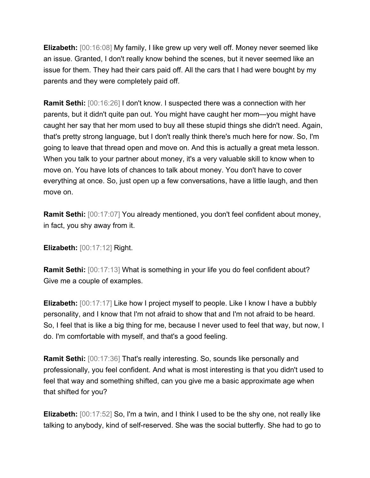**Elizabeth:** [00:16:08] My family, I like grew up very well off. Money never seemed like an issue. Granted, I don't really know behind the scenes, but it never seemed like an issue for them. They had their cars paid off. All the cars that I had were bought by my parents and they were completely paid off.

**Ramit Sethi:** [00:16:26] I don't know. I suspected there was a connection with her parents, but it didn't quite pan out. You might have caught her mom—you might have caught her say that her mom used to buy all these stupid things she didn't need. Again, that's pretty strong language, but I don't really think there's much here for now. So, I'm going to leave that thread open and move on. And this is actually a great meta lesson. When you talk to your partner about money, it's a very valuable skill to know when to move on. You have lots of chances to talk about money. You don't have to cover everything at once. So, just open up a few conversations, have a little laugh, and then move on.

**Ramit Sethi:** [00:17:07] You already mentioned, you don't feel confident about money, in fact, you shy away from it.

**Elizabeth:** [00:17:12] Right.

**Ramit Sethi:** [00:17:13] What is something in your life you do feel confident about? Give me a couple of examples.

**Elizabeth:** [00:17:17] Like how I project myself to people. Like I know I have a bubbly personality, and I know that I'm not afraid to show that and I'm not afraid to be heard. So, I feel that is like a big thing for me, because I never used to feel that way, but now, I do. I'm comfortable with myself, and that's a good feeling.

**Ramit Sethi:** [00:17:36] That's really interesting. So, sounds like personally and professionally, you feel confident. And what is most interesting is that you didn't used to feel that way and something shifted, can you give me a basic approximate age when that shifted for you?

**Elizabeth:** [00:17:52] So, I'm a twin, and I think I used to be the shy one, not really like talking to anybody, kind of self-reserved. She was the social butterfly. She had to go to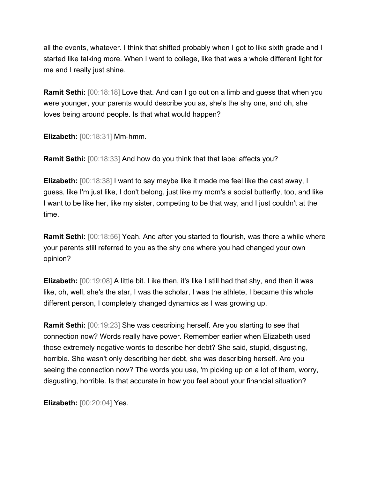all the events, whatever. I think that shifted probably when I got to like sixth grade and I started like talking more. When I went to college, like that was a whole different light for me and I really just shine.

**Ramit Sethi:** [00:18:18] Love that. And can I go out on a limb and guess that when you were younger, your parents would describe you as, she's the shy one, and oh, she loves being around people. Is that what would happen?

**Elizabeth:** [00:18:31] Mm-hmm.

**Ramit Sethi:** [00:18:33] And how do you think that that label affects you?

**Elizabeth:** [00:18:38] I want to say maybe like it made me feel like the cast away, I guess, like I'm just like, I don't belong, just like my mom's a social butterfly, too, and like I want to be like her, like my sister, competing to be that way, and I just couldn't at the time.

**Ramit Sethi:** [00:18:56] Yeah. And after you started to flourish, was there a while where your parents still referred to you as the shy one where you had changed your own opinion?

**Elizabeth:** [00:19:08] A little bit. Like then, it's like I still had that shy, and then it was like, oh, well, she's the star, I was the scholar, I was the athlete, I became this whole different person, I completely changed dynamics as I was growing up.

**Ramit Sethi:** [00:19:23] She was describing herself. Are you starting to see that connection now? Words really have power. Remember earlier when Elizabeth used those extremely negative words to describe her debt? She said, stupid, disgusting, horrible. She wasn't only describing her debt, she was describing herself. Are you seeing the connection now? The words you use, 'm picking up on a lot of them, worry, disgusting, horrible. Is that accurate in how you feel about your financial situation?

**Elizabeth:** [00:20:04] Yes.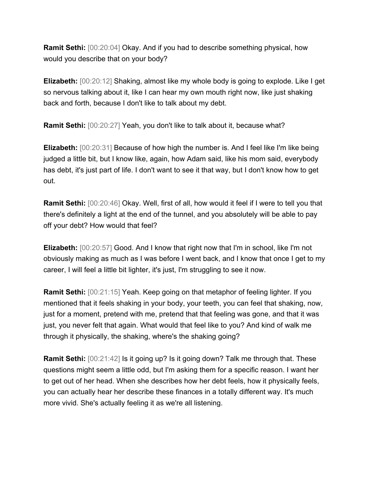**Ramit Sethi:** [00:20:04] Okay. And if you had to describe something physical, how would you describe that on your body?

**Elizabeth:** [00:20:12] Shaking, almost like my whole body is going to explode. Like I get so nervous talking about it, like I can hear my own mouth right now, like just shaking back and forth, because I don't like to talk about my debt.

**Ramit Sethi:** [00:20:27] Yeah, you don't like to talk about it, because what?

**Elizabeth:**  $[00:20:31]$  Because of how high the number is. And I feel like I'm like being judged a little bit, but I know like, again, how Adam said, like his mom said, everybody has debt, it's just part of life. I don't want to see it that way, but I don't know how to get out.

**Ramit Sethi:** [00:20:46] Okay. Well, first of all, how would it feel if I were to tell you that there's definitely a light at the end of the tunnel, and you absolutely will be able to pay off your debt? How would that feel?

**Elizabeth:** [00:20:57] Good. And I know that right now that I'm in school, like I'm not obviously making as much as I was before I went back, and I know that once I get to my career, I will feel a little bit lighter, it's just, I'm struggling to see it now.

**Ramit Sethi:** [00:21:15] Yeah. Keep going on that metaphor of feeling lighter. If you mentioned that it feels shaking in your body, your teeth, you can feel that shaking, now, just for a moment, pretend with me, pretend that that feeling was gone, and that it was just, you never felt that again. What would that feel like to you? And kind of walk me through it physically, the shaking, where's the shaking going?

**Ramit Sethi:**  $[00:21:42]$  Is it going up? Is it going down? Talk me through that. These questions might seem a little odd, but I'm asking them for a specific reason. I want her to get out of her head. When she describes how her debt feels, how it physically feels, you can actually hear her describe these finances in a totally different way. It's much more vivid. She's actually feeling it as we're all listening.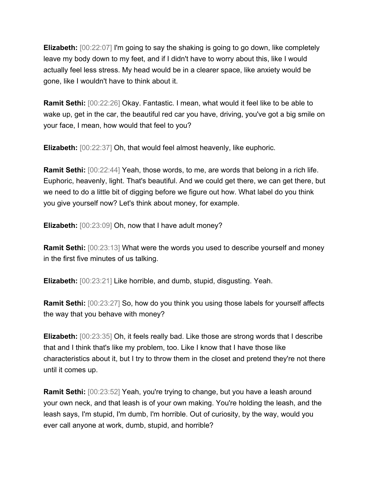**Elizabeth:** [00:22:07] I'm going to say the shaking is going to go down, like completely leave my body down to my feet, and if I didn't have to worry about this, like I would actually feel less stress. My head would be in a clearer space, like anxiety would be gone, like I wouldn't have to think about it.

**Ramit Sethi:** [00:22:26] Okay. Fantastic. I mean, what would it feel like to be able to wake up, get in the car, the beautiful red car you have, driving, you've got a big smile on your face, I mean, how would that feel to you?

**Elizabeth:** [00:22:37] Oh, that would feel almost heavenly, like euphoric.

**Ramit Sethi:** [00:22:44] Yeah, those words, to me, are words that belong in a rich life. Euphoric, heavenly, light. That's beautiful. And we could get there, we can get there, but we need to do a little bit of digging before we figure out how. What label do you think you give yourself now? Let's think about money, for example.

**Elizabeth:** [00:23:09] Oh, now that I have adult money?

**Ramit Sethi:** [00:23:13] What were the words you used to describe yourself and money in the first five minutes of us talking.

**Elizabeth:** [00:23:21] Like horrible, and dumb, stupid, disgusting. Yeah.

**Ramit Sethi:** [00:23:27] So, how do you think you using those labels for yourself affects the way that you behave with money?

**Elizabeth:** [00:23:35] Oh, it feels really bad. Like those are strong words that I describe that and I think that's like my problem, too. Like I know that I have those like characteristics about it, but I try to throw them in the closet and pretend they're not there until it comes up.

**Ramit Sethi:** [00:23:52] Yeah, you're trying to change, but you have a leash around your own neck, and that leash is of your own making. You're holding the leash, and the leash says, I'm stupid, I'm dumb, I'm horrible. Out of curiosity, by the way, would you ever call anyone at work, dumb, stupid, and horrible?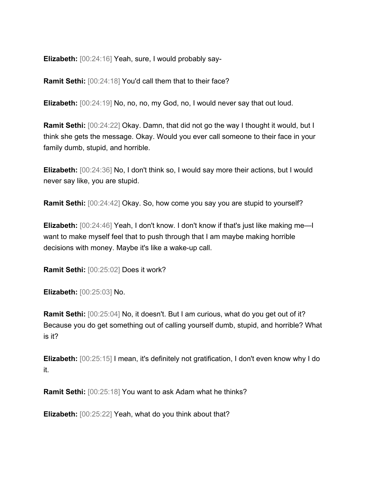**Elizabeth:** [00:24:16] Yeah, sure, I would probably say-

**Ramit Sethi:** [00:24:18] You'd call them that to their face?

**Elizabeth:** [00:24:19] No, no, no, my God, no, I would never say that out loud.

**Ramit Sethi:** [00:24:22] Okay. Damn, that did not go the way I thought it would, but I think she gets the message. Okay. Would you ever call someone to their face in your family dumb, stupid, and horrible.

**Elizabeth:** [00:24:36] No, I don't think so, I would say more their actions, but I would never say like, you are stupid.

**Ramit Sethi:** [00:24:42] Okay. So, how come you say you are stupid to yourself?

**Elizabeth:** [00:24:46] Yeah, I don't know. I don't know if that's just like making me—I want to make myself feel that to push through that I am maybe making horrible decisions with money. Maybe it's like a wake-up call.

**Ramit Sethi:** [00:25:02] Does it work?

**Elizabeth:** [00:25:03] No.

**Ramit Sethi:** [00:25:04] No, it doesn't. But I am curious, what do you get out of it? Because you do get something out of calling yourself dumb, stupid, and horrible? What is it?

**Elizabeth:** [00:25:15] I mean, it's definitely not gratification, I don't even know why I do it.

**Ramit Sethi:** [00:25:18] You want to ask Adam what he thinks?

**Elizabeth:** [00:25:22] Yeah, what do you think about that?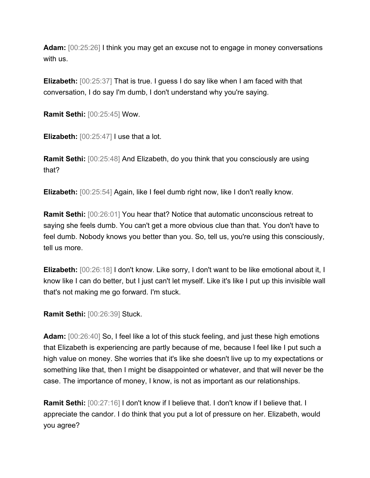**Adam:** [00:25:26] I think you may get an excuse not to engage in money conversations with us.

**Elizabeth:** [00:25:37] That is true. I guess I do say like when I am faced with that conversation, I do say I'm dumb, I don't understand why you're saying.

**Ramit Sethi:** [00:25:45] Wow.

**Elizabeth:** [00:25:47] I use that a lot.

**Ramit Sethi:** [00:25:48] And Elizabeth, do you think that you consciously are using that?

**Elizabeth:** [00:25:54] Again, like I feel dumb right now, like I don't really know.

**Ramit Sethi:** [00:26:01] You hear that? Notice that automatic unconscious retreat to saying she feels dumb. You can't get a more obvious clue than that. You don't have to feel dumb. Nobody knows you better than you. So, tell us, you're using this consciously, tell us more.

**Elizabeth:** [00:26:18] I don't know. Like sorry, I don't want to be like emotional about it, I know like I can do better, but I just can't let myself. Like it's like I put up this invisible wall that's not making me go forward. I'm stuck.

**Ramit Sethi:** [00:26:39] Stuck.

**Adam:** [00:26:40] So, I feel like a lot of this stuck feeling, and just these high emotions that Elizabeth is experiencing are partly because of me, because I feel like I put such a high value on money. She worries that it's like she doesn't live up to my expectations or something like that, then I might be disappointed or whatever, and that will never be the case. The importance of money, I know, is not as important as our relationships.

**Ramit Sethi:** [00:27:16] I don't know if I believe that. I don't know if I believe that. I appreciate the candor. I do think that you put a lot of pressure on her. Elizabeth, would you agree?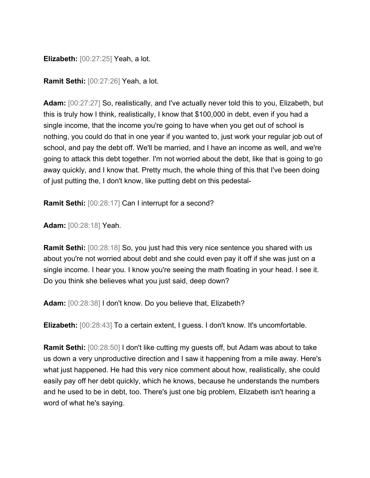**Elizabeth:** [00:27:25] Yeah, a lot.

**Ramit Sethi:** [00:27:26] Yeah, a lot.

Adam:  $[00:27:27]$  So, realistically, and I've actually never told this to you, Elizabeth, but this is truly how I think, realistically, I know that \$100,000 in debt, even if you had a single income, that the income you're going to have when you get out of school is nothing, you could do that in one year if you wanted to, just work your regular job out of school, and pay the debt off. We'll be married, and I have an income as well, and we're going to attack this debt together. I'm not worried about the debt, like that is going to go away quickly, and I know that. Pretty much, the whole thing of this that I've been doing of just putting the, I don't know, like putting debt on this pedestal-

**Ramit Sethi:** [00:28:17] Can I interrupt for a second?

**Adam:** [00:28:18] Yeah.

**Ramit Sethi:** [00:28:18] So, you just had this very nice sentence you shared with us about you're not worried about debt and she could even pay it off if she was just on a single income. I hear you. I know you're seeing the math floating in your head. I see it. Do you think she believes what you just said, deep down?

**Adam:** [00:28:38] I don't know. Do you believe that, Elizabeth?

**Elizabeth:** [00:28:43] To a certain extent, I guess. I don't know. It's uncomfortable.

**Ramit Sethi:** [00:28:50] I don't like cutting my guests off, but Adam was about to take us down a very unproductive direction and I saw it happening from a mile away. Here's what just happened. He had this very nice comment about how, realistically, she could easily pay off her debt quickly, which he knows, because he understands the numbers and he used to be in debt, too. There's just one big problem, Elizabeth isn't hearing a word of what he's saying.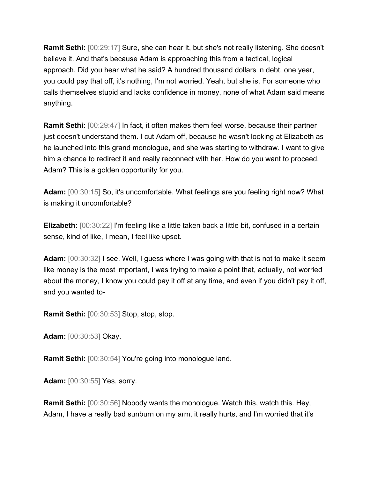**Ramit Sethi:** [00:29:17] Sure, she can hear it, but she's not really listening. She doesn't believe it. And that's because Adam is approaching this from a tactical, logical approach. Did you hear what he said? A hundred thousand dollars in debt, one year, you could pay that off, it's nothing, I'm not worried. Yeah, but she is. For someone who calls themselves stupid and lacks confidence in money, none of what Adam said means anything.

**Ramit Sethi:** [00:29:47] In fact, it often makes them feel worse, because their partner just doesn't understand them. I cut Adam off, because he wasn't looking at Elizabeth as he launched into this grand monologue, and she was starting to withdraw. I want to give him a chance to redirect it and really reconnect with her. How do you want to proceed, Adam? This is a golden opportunity for you.

**Adam:** [00:30:15] So, it's uncomfortable. What feelings are you feeling right now? What is making it uncomfortable?

**Elizabeth:** [00:30:22] I'm feeling like a little taken back a little bit, confused in a certain sense, kind of like, I mean, I feel like upset.

**Adam:** [00:30:32] I see. Well, I guess where I was going with that is not to make it seem like money is the most important, I was trying to make a point that, actually, not worried about the money, I know you could pay it off at any time, and even if you didn't pay it off, and you wanted to-

**Ramit Sethi:** [00:30:53] Stop, stop, stop.

**Adam:** [00:30:53] Okay.

**Ramit Sethi:** [00:30:54] You're going into monologue land.

**Adam:** [00:30:55] Yes, sorry.

**Ramit Sethi:** [00:30:56] Nobody wants the monologue. Watch this, watch this. Hey, Adam, I have a really bad sunburn on my arm, it really hurts, and I'm worried that it's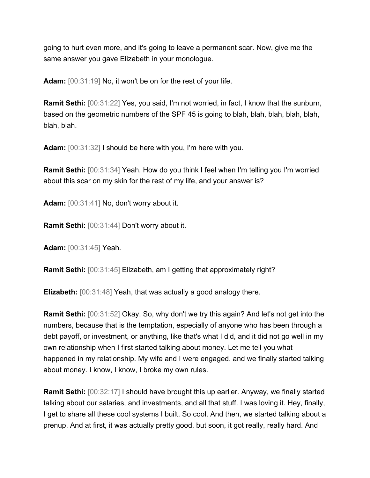going to hurt even more, and it's going to leave a permanent scar. Now, give me the same answer you gave Elizabeth in your monologue.

**Adam:** [00:31:19] No, it won't be on for the rest of your life.

**Ramit Sethi:** [00:31:22] Yes, you said, I'm not worried, in fact, I know that the sunburn, based on the geometric numbers of the SPF 45 is going to blah, blah, blah, blah, blah, blah, blah.

**Adam:** [00:31:32] I should be here with you, I'm here with you.

**Ramit Sethi:** [00:31:34] Yeah. How do you think I feel when I'm telling you I'm worried about this scar on my skin for the rest of my life, and your answer is?

**Adam:** [00:31:41] No, don't worry about it.

**Ramit Sethi:** [00:31:44] Don't worry about it.

**Adam:** [00:31:45] Yeah.

**Ramit Sethi:** [00:31:45] Elizabeth, am I getting that approximately right?

**Elizabeth:** [00:31:48] Yeah, that was actually a good analogy there.

**Ramit Sethi:** [00:31:52] Okay. So, why don't we try this again? And let's not get into the numbers, because that is the temptation, especially of anyone who has been through a debt payoff, or investment, or anything, like that's what I did, and it did not go well in my own relationship when I first started talking about money. Let me tell you what happened in my relationship. My wife and I were engaged, and we finally started talking about money. I know, I know, I broke my own rules.

**Ramit Sethi:**  $[00:32:17]$  I should have brought this up earlier. Anyway, we finally started talking about our salaries, and investments, and all that stuff. I was loving it. Hey, finally, I get to share all these cool systems I built. So cool. And then, we started talking about a prenup. And at first, it was actually pretty good, but soon, it got really, really hard. And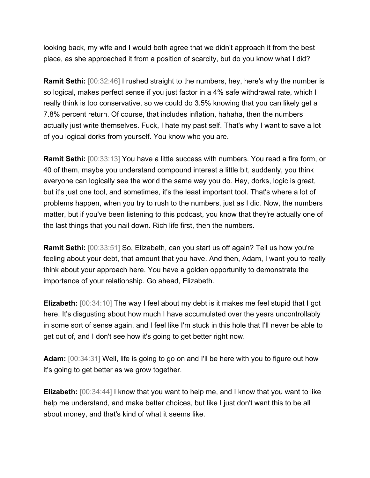looking back, my wife and I would both agree that we didn't approach it from the best place, as she approached it from a position of scarcity, but do you know what I did?

**Ramit Sethi:** [00:32:46] I rushed straight to the numbers, hey, here's why the number is so logical, makes perfect sense if you just factor in a 4% safe withdrawal rate, which I really think is too conservative, so we could do 3.5% knowing that you can likely get a 7.8% percent return. Of course, that includes inflation, hahaha, then the numbers actually just write themselves. Fuck, I hate my past self. That's why I want to save a lot of you logical dorks from yourself. You know who you are.

**Ramit Sethi:** [00:33:13] You have a little success with numbers. You read a fire form, or 40 of them, maybe you understand compound interest a little bit, suddenly, you think everyone can logically see the world the same way you do. Hey, dorks, logic is great, but it's just one tool, and sometimes, it's the least important tool. That's where a lot of problems happen, when you try to rush to the numbers, just as I did. Now, the numbers matter, but if you've been listening to this podcast, you know that they're actually one of the last things that you nail down. Rich life first, then the numbers.

**Ramit Sethi:** [00:33:51] So, Elizabeth, can you start us off again? Tell us how you're feeling about your debt, that amount that you have. And then, Adam, I want you to really think about your approach here. You have a golden opportunity to demonstrate the importance of your relationship. Go ahead, Elizabeth.

**Elizabeth:** [00:34:10] The way I feel about my debt is it makes me feel stupid that I got here. It's disgusting about how much I have accumulated over the years uncontrollably in some sort of sense again, and I feel like I'm stuck in this hole that I'll never be able to get out of, and I don't see how it's going to get better right now.

**Adam:** [00:34:31] Well, life is going to go on and I'll be here with you to figure out how it's going to get better as we grow together.

**Elizabeth:** [00:34:44] I know that you want to help me, and I know that you want to like help me understand, and make better choices, but like I just don't want this to be all about money, and that's kind of what it seems like.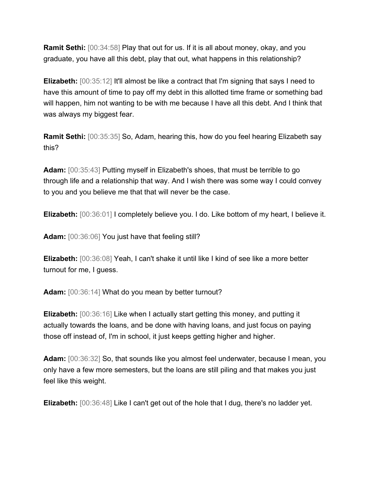**Ramit Sethi:** [00:34:58] Play that out for us. If it is all about money, okay, and you graduate, you have all this debt, play that out, what happens in this relationship?

**Elizabeth:** [00:35:12] It'll almost be like a contract that I'm signing that says I need to have this amount of time to pay off my debt in this allotted time frame or something bad will happen, him not wanting to be with me because I have all this debt. And I think that was always my biggest fear.

**Ramit Sethi:** [00:35:35] So, Adam, hearing this, how do you feel hearing Elizabeth say this?

**Adam:** [00:35:43] Putting myself in Elizabeth's shoes, that must be terrible to go through life and a relationship that way. And I wish there was some way I could convey to you and you believe me that that will never be the case.

**Elizabeth:** [00:36:01] I completely believe you. I do. Like bottom of my heart, I believe it.

**Adam:** [00:36:06] You just have that feeling still?

**Elizabeth:** [00:36:08] Yeah, I can't shake it until like I kind of see like a more better turnout for me, I guess.

**Adam:** [00:36:14] What do you mean by better turnout?

**Elizabeth:** [00:36:16] Like when I actually start getting this money, and putting it actually towards the loans, and be done with having loans, and just focus on paying those off instead of, I'm in school, it just keeps getting higher and higher.

**Adam:** [00:36:32] So, that sounds like you almost feel underwater, because I mean, you only have a few more semesters, but the loans are still piling and that makes you just feel like this weight.

**Elizabeth:** [00:36:48] Like I can't get out of the hole that I dug, there's no ladder yet.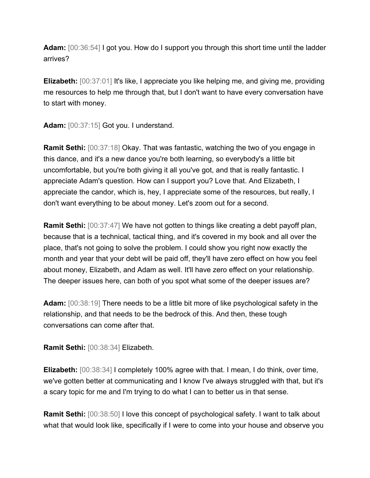**Adam:** [00:36:54] I got you. How do I support you through this short time until the ladder arrives?

**Elizabeth:** [00:37:01] It's like, I appreciate you like helping me, and giving me, providing me resources to help me through that, but I don't want to have every conversation have to start with money.

**Adam:** [00:37:15] Got you. I understand.

**Ramit Sethi:** [00:37:18] Okay. That was fantastic, watching the two of you engage in this dance, and it's a new dance you're both learning, so everybody's a little bit uncomfortable, but you're both giving it all you've got, and that is really fantastic. I appreciate Adam's question. How can I support you? Love that. And Elizabeth, I appreciate the candor, which is, hey, I appreciate some of the resources, but really, I don't want everything to be about money. Let's zoom out for a second.

**Ramit Sethi:** [00:37:47] We have not gotten to things like creating a debt payoff plan, because that is a technical, tactical thing, and it's covered in my book and all over the place, that's not going to solve the problem. I could show you right now exactly the month and year that your debt will be paid off, they'll have zero effect on how you feel about money, Elizabeth, and Adam as well. It'll have zero effect on your relationship. The deeper issues here, can both of you spot what some of the deeper issues are?

**Adam:** [00:38:19] There needs to be a little bit more of like psychological safety in the relationship, and that needs to be the bedrock of this. And then, these tough conversations can come after that.

**Ramit Sethi:** [00:38:34] Elizabeth.

**Elizabeth:** [00:38:34] I completely 100% agree with that. I mean, I do think, over time, we've gotten better at communicating and I know I've always struggled with that, but it's a scary topic for me and I'm trying to do what I can to better us in that sense.

**Ramit Sethi:** [00:38:50] I love this concept of psychological safety. I want to talk about what that would look like, specifically if I were to come into your house and observe you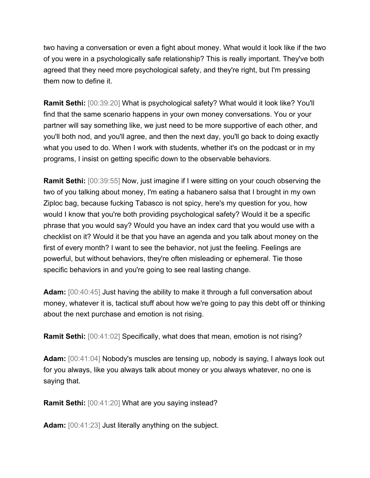two having a conversation or even a fight about money. What would it look like if the two of you were in a psychologically safe relationship? This is really important. They've both agreed that they need more psychological safety, and they're right, but I'm pressing them now to define it.

**Ramit Sethi:** [00:39:20] What is psychological safety? What would it look like? You'll find that the same scenario happens in your own money conversations. You or your partner will say something like, we just need to be more supportive of each other, and you'll both nod, and you'll agree, and then the next day, you'll go back to doing exactly what you used to do. When I work with students, whether it's on the podcast or in my programs, I insist on getting specific down to the observable behaviors.

**Ramit Sethi:** [00:39:55] Now, just imagine if I were sitting on your couch observing the two of you talking about money, I'm eating a habanero salsa that I brought in my own Ziploc bag, because fucking Tabasco is not spicy, here's my question for you, how would I know that you're both providing psychological safety? Would it be a specific phrase that you would say? Would you have an index card that you would use with a checklist on it? Would it be that you have an agenda and you talk about money on the first of every month? I want to see the behavior, not just the feeling. Feelings are powerful, but without behaviors, they're often misleading or ephemeral. Tie those specific behaviors in and you're going to see real lasting change.

**Adam:** [00:40:45] Just having the ability to make it through a full conversation about money, whatever it is, tactical stuff about how we're going to pay this debt off or thinking about the next purchase and emotion is not rising.

**Ramit Sethi:** [00:41:02] Specifically, what does that mean, emotion is not rising?

**Adam:** [00:41:04] Nobody's muscles are tensing up, nobody is saying, I always look out for you always, like you always talk about money or you always whatever, no one is saying that.

**Ramit Sethi:** [00:41:20] What are you saying instead?

**Adam:** [00:41:23] Just literally anything on the subject.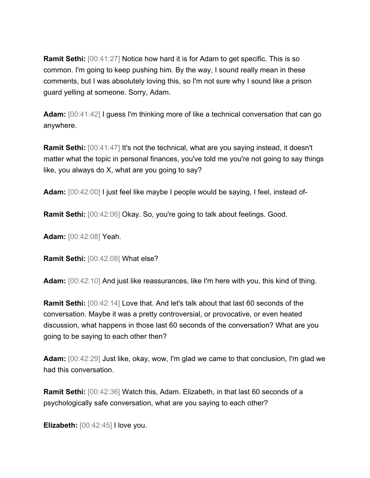**Ramit Sethi:** [00:41:27] Notice how hard it is for Adam to get specific. This is so common. I'm going to keep pushing him. By the way, I sound really mean in these comments, but I was absolutely loving this, so I'm not sure why I sound like a prison guard yelling at someone. Sorry, Adam.

**Adam:** [00:41:42] I guess I'm thinking more of like a technical conversation that can go anywhere.

**Ramit Sethi:** [00:41:47] It's not the technical, what are you saying instead, it doesn't matter what the topic in personal finances, you've told me you're not going to say things like, you always do X, what are you going to say?

**Adam:** [00:42:00] I just feel like maybe I people would be saying, I feel, instead of-

**Ramit Sethi:** [00:42:06] Okay. So, you're going to talk about feelings. Good.

**Adam:** [00:42:08] Yeah.

**Ramit Sethi:** [00:42:08] What else?

**Adam:** [00:42:10] And just like reassurances, like I'm here with you, this kind of thing.

**Ramit Sethi:** [00:42:14] Love that. And let's talk about that last 60 seconds of the conversation. Maybe it was a pretty controversial, or provocative, or even heated discussion, what happens in those last 60 seconds of the conversation? What are you going to be saying to each other then?

**Adam:** [00:42:29] Just like, okay, wow, I'm glad we came to that conclusion, I'm glad we had this conversation.

**Ramit Sethi:** [00:42:36] Watch this, Adam. Elizabeth, in that last 60 seconds of a psychologically safe conversation, what are you saying to each other?

**Elizabeth:** [00:42:45] I love you.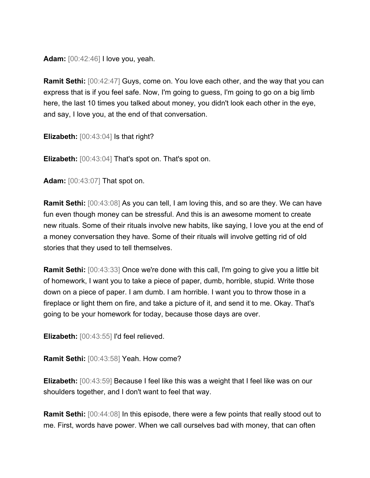**Adam:** [00:42:46] I love you, yeah.

**Ramit Sethi:** [00:42:47] Guys, come on. You love each other, and the way that you can express that is if you feel safe. Now, I'm going to guess, I'm going to go on a big limb here, the last 10 times you talked about money, you didn't look each other in the eye, and say, I love you, at the end of that conversation.

**Elizabeth:** [00:43:04] Is that right?

**Elizabeth:** [00:43:04] That's spot on. That's spot on.

**Adam:** [00:43:07] That spot on.

**Ramit Sethi:** [00:43:08] As you can tell, I am loving this, and so are they. We can have fun even though money can be stressful. And this is an awesome moment to create new rituals. Some of their rituals involve new habits, like saying, I love you at the end of a money conversation they have. Some of their rituals will involve getting rid of old stories that they used to tell themselves.

**Ramit Sethi:** [00:43:33] Once we're done with this call, I'm going to give you a little bit of homework, I want you to take a piece of paper, dumb, horrible, stupid. Write those down on a piece of paper. I am dumb. I am horrible. I want you to throw those in a fireplace or light them on fire, and take a picture of it, and send it to me. Okay. That's going to be your homework for today, because those days are over.

**Elizabeth:** [00:43:55] I'd feel relieved.

**Ramit Sethi:** [00:43:58] Yeah. How come?

**Elizabeth:** [00:43:59] Because I feel like this was a weight that I feel like was on our shoulders together, and I don't want to feel that way.

**Ramit Sethi:** [00:44:08] In this episode, there were a few points that really stood out to me. First, words have power. When we call ourselves bad with money, that can often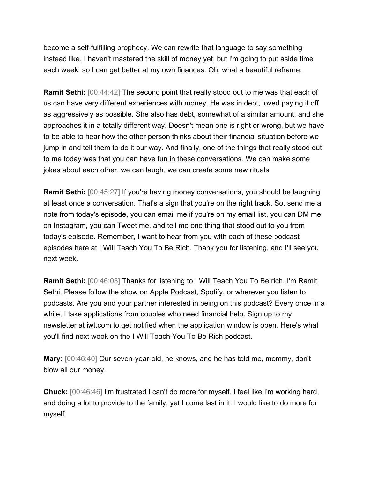become a self-fulfilling prophecy. We can rewrite that language to say something instead like, I haven't mastered the skill of money yet, but I'm going to put aside time each week, so I can get better at my own finances. Oh, what a beautiful reframe.

**Ramit Sethi:** [00:44:42] The second point that really stood out to me was that each of us can have very different experiences with money. He was in debt, loved paying it off as aggressively as possible. She also has debt, somewhat of a similar amount, and she approaches it in a totally different way. Doesn't mean one is right or wrong, but we have to be able to hear how the other person thinks about their financial situation before we jump in and tell them to do it our way. And finally, one of the things that really stood out to me today was that you can have fun in these conversations. We can make some jokes about each other, we can laugh, we can create some new rituals.

**Ramit Sethi:** [00:45:27] If you're having money conversations, you should be laughing at least once a conversation. That's a sign that you're on the right track. So, send me a note from today's episode, you can email me if you're on my email list, you can DM me on Instagram, you can Tweet me, and tell me one thing that stood out to you from today's episode. Remember, I want to hear from you with each of these podcast episodes here at I Will Teach You To Be Rich. Thank you for listening, and I'll see you next week.

**Ramit Sethi:** [00:46:03] Thanks for listening to I Will Teach You To Be rich. I'm Ramit Sethi. Please follow the show on Apple Podcast, Spotify, or wherever you listen to podcasts. Are you and your partner interested in being on this podcast? Every once in a while, I take applications from couples who need financial help. Sign up to my newsletter at iwt.com to get notified when the application window is open. Here's what you'll find next week on the I Will Teach You To Be Rich podcast.

**Mary:** [00:46:40] Our seven-year-old, he knows, and he has told me, mommy, don't blow all our money.

**Chuck:** [00:46:46] I'm frustrated I can't do more for myself. I feel like I'm working hard, and doing a lot to provide to the family, yet I come last in it. I would like to do more for myself.